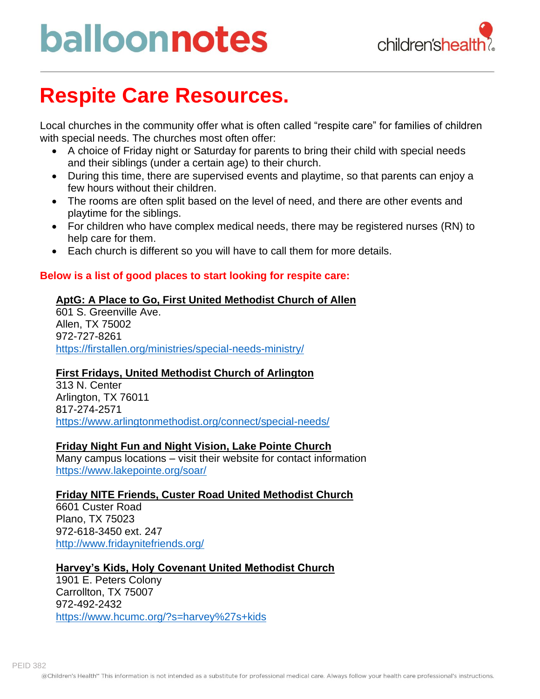# balloonnotes



### **Respite Care Resources.**

Local churches in the community offer what is often called "respite care" for families of children with special needs. The churches most often offer:

- A choice of Friday night or Saturday for parents to bring their child with special needs and their siblings (under a certain age) to their church.
- During this time, there are supervised events and playtime, so that parents can enjoy a few hours without their children.
- The rooms are often split based on the level of need, and there are other events and playtime for the siblings.
- For children who have complex medical needs, there may be registered nurses (RN) to help care for them.
- Each church is different so you will have to call them for more details.

#### **Below is a list of good places to start looking for respite care:**

#### **AptG: A Place to Go, First United Methodist Church of Allen**

601 S. Greenville Ave. Allen, TX 75002 972-727-8261 <https://firstallen.org/ministries/special-needs-ministry/>

#### **First Fridays, United Methodist Church of Arlington**

313 N. Center Arlington, TX 76011 817-274-2571 <https://www.arlingtonmethodist.org/connect/special-needs/>

#### **Friday Night Fun and Night Vision, Lake Pointe Church**

Many campus locations – visit their website for contact information <https://www.lakepointe.org/soar/>

#### **Friday NITE Friends, Custer Road United Methodist Church**

6601 Custer Road Plano, TX 75023 972-618-3450 ext. 247 <http://www.fridaynitefriends.org/>

#### **Harvey's Kids, Holy Covenant United Methodist Church**

1901 E. Peters Colony Carrollton, TX 75007 972-492-2432 <https://www.hcumc.org/?s=harvey%27s+kids>